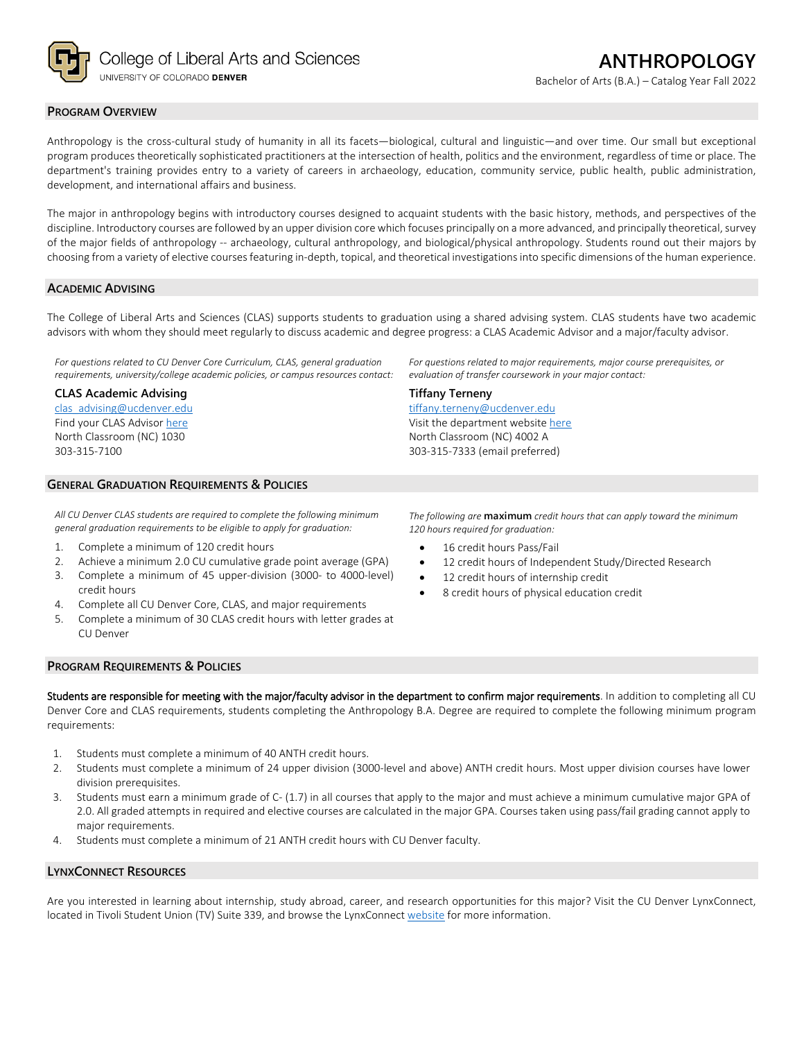

### **PROGRAM OVERVIEW**

Anthropology is the cross-cultural study of humanity in all its facets—biological, cultural and linguistic—and over time. Our small but exceptional program produces theoretically sophisticated practitioners at the intersection of health, politics and the environment, regardless of time or place. The department's training provides entry to a variety of careers in archaeology, education, community service, public health, public administration, development, and international affairs and business.

The major in anthropology begins with introductory courses designed to acquaint students with the basic history, methods, and perspectives of the discipline. Introductory courses are followed by an upper division core which focuses principally on a more advanced, and principally theoretical, survey of the major fields of anthropology -- archaeology, cultural anthropology, and biological/physical anthropology. Students round out their majors by choosing from a variety of elective courses featuring in-depth, topical, and theoretical investigations into specific dimensions of the human experience.

#### **ACADEMIC ADVISING**

The College of Liberal Arts and Sciences (CLAS) supports students to graduation using a shared advising system. CLAS students have two academic advisors with whom they should meet regularly to discuss academic and degree progress: a CLAS Academic Advisor and a major/faculty advisor.

**Tiffany Terneny**

[tiffany.terneny@ucdenver.edu](mailto:tiffany.terneny@ucdenver.edu) Visit the department websit[e here](https://clas.ucdenver.edu/anthropology/) North Classroom (NC) 4002 A 303-315-7333 (email preferred)

*For questions related to CU Denver Core Curriculum, CLAS, general graduation requirements, university/college academic policies, or campus resources contact:*

#### **CLAS Academic Advising**

[clas\\_advising@ucdenver.edu](mailto:clas_advising@ucdenver.edu) Find your CLAS Adviso[r here](https://clas.ucdenver.edu/advising/) North Classroom (NC) 1030 303-315-7100

# **GENERAL GRADUATION REQUIREMENTS & POLICIES**

*All CU Denver CLAS students are required to complete the following minimum general graduation requirements to be eligible to apply for graduation:*

- 1. Complete a minimum of 120 credit hours
- 2. Achieve a minimum 2.0 CU cumulative grade point average (GPA)
- 3. Complete a minimum of 45 upper-division (3000- to 4000-level) credit hours
- 4. Complete all CU Denver Core, CLAS, and major requirements
- 5. Complete a minimum of 30 CLAS credit hours with letter grades at CU Denver

*For questions related to major requirements, major course prerequisites, or* 

*evaluation of transfer coursework in your major contact:*

*The following are* **maximum** *credit hours that can apply toward the minimum 120 hours required for graduation:*

- 16 credit hours Pass/Fail
- 12 credit hours of Independent Study/Directed Research
- 12 credit hours of internship credit
- 8 credit hours of physical education credit

#### **PROGRAM REQUIREMENTS & POLICIES**

Students are responsible for meeting with the major/faculty advisor in the department to confirm major requirements. In addition to completing all CU Denver Core and CLAS requirements, students completing the Anthropology B.A. Degree are required to complete the following minimum program requirements:

- 1. Students must complete a minimum of 40 ANTH credit hours.
- 2. Students must complete a minimum of 24 upper division (3000-level and above) ANTH credit hours. Most upper division courses have lower division prerequisites.
- 3. Students must earn a minimum grade of C- (1.7) in all courses that apply to the major and must achieve a minimum cumulative major GPA of 2.0. All graded attempts in required and elective courses are calculated in the major GPA. Courses taken using pass/fail grading cannot apply to major requirements.
- 4. Students must complete a minimum of 21 ANTH credit hours with CU Denver faculty.

## **LYNXCONNECT RESOURCES**

Are you interested in learning about internship, study abroad, career, and research opportunities for this major? Visit the CU Denver LynxConnect, located in Tivoli Student Union (TV) Suite 339, and browse the LynxConnec[t website](http://www.ucdenver.edu/lynxconnect/Pages/default.aspx) for more information.